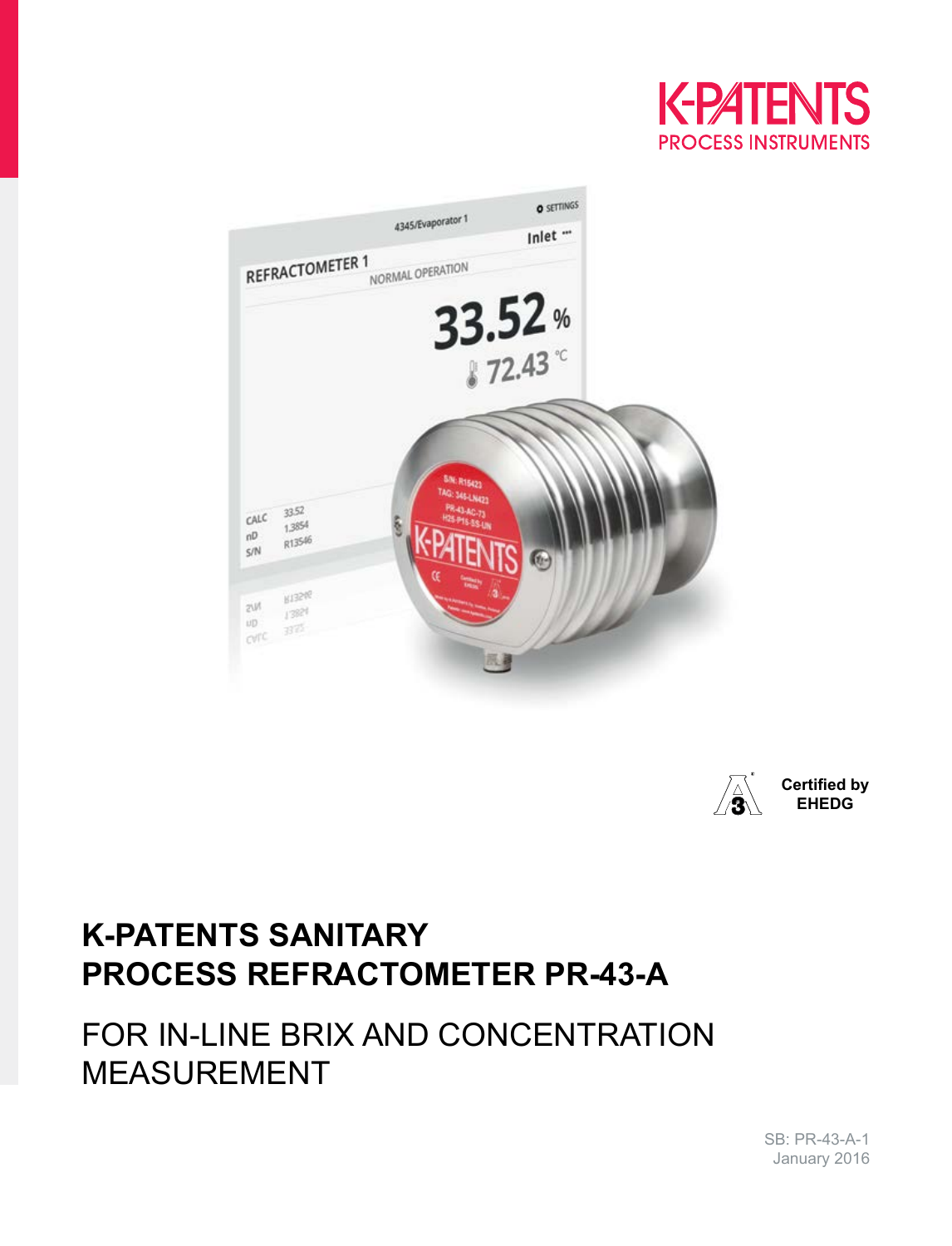





# **K-PATENTS SANITARY PROCESS REFRACTOMETER PR-43-A**

# FOR IN-LINE BRIX AND CONCENTRATION MEASUREMENT

SB: PR-43-A-1 January 2016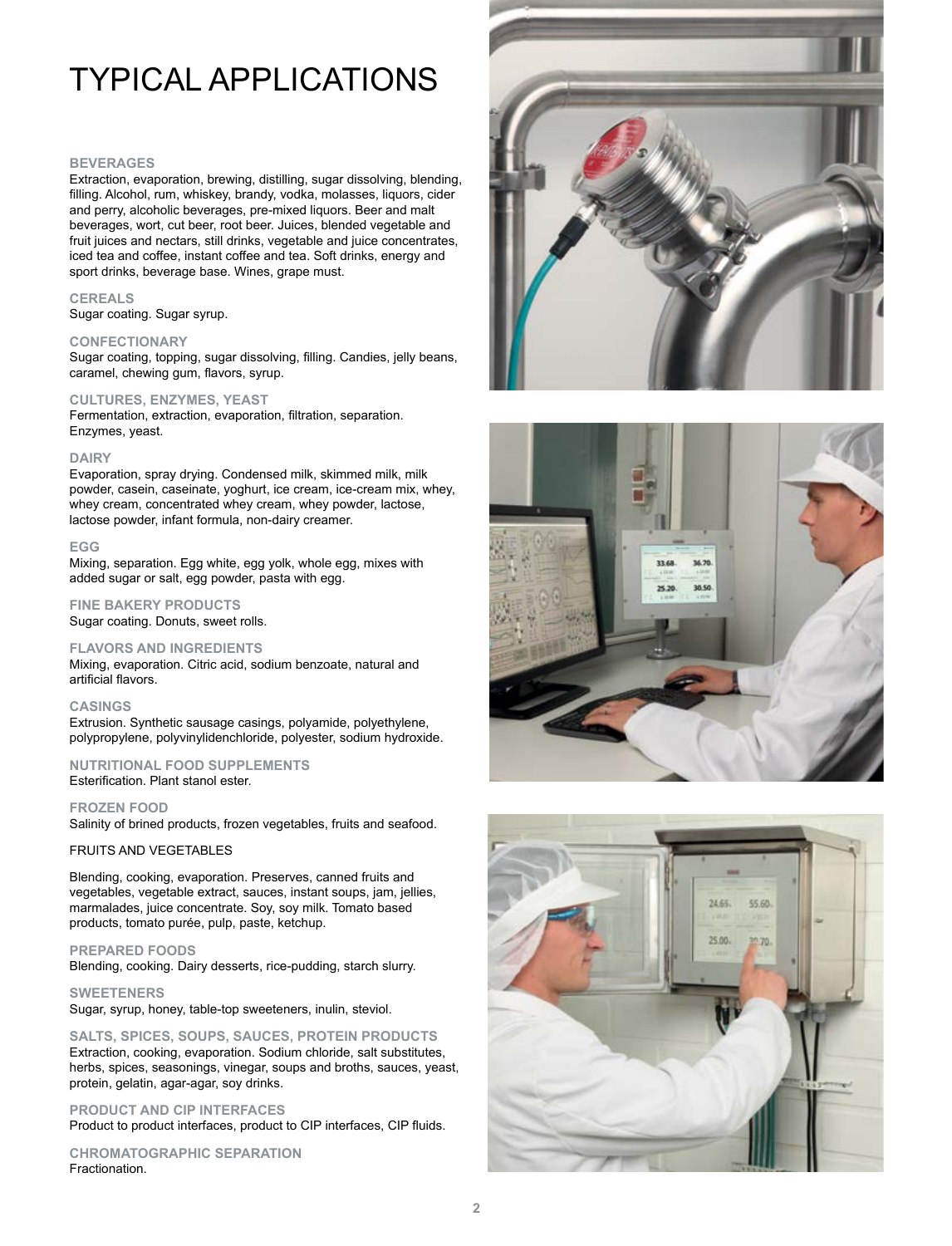# TYPICAL APPLICATIONS

#### **BEVERAGES**

Extraction, evaporation, brewing, distilling, sugar dissolving, blending, filling. Alcohol, rum, whiskey, brandy, vodka, molasses, liquors, cider and perry, alcoholic beverages, pre-mixed liquors. Beer and malt beverages, wort, cut beer, root beer. Juices, blended vegetable and fruit juices and nectars, still drinks, vegetable and juice concentrates, iced tea and coffee, instant coffee and tea. Soft drinks, energy and sport drinks, beverage base. Wines, grape must.

#### **CEREALS**

Sugar coating. Sugar syrup.

### **CONFECTIONARY**

Sugar coating, topping, sugar dissolving, filling. Candies, jelly beans, caramel, chewing gum, flavors, syrup.

## **CULTURES, ENZYMES, YEAST**

Fermentation, extraction, evaporation, filtration, separation. Enzymes, yeast.

### **DAIRY**

Evaporation, spray drying. Condensed milk, skimmed milk, milk powder, casein, caseinate, yoghurt, ice cream, ice-cream mix, whey, whey cream, concentrated whey cream, whey powder, lactose, lactose powder, infant formula, non-dairy creamer.

#### **EGG**

Mixing, separation. Egg white, egg yolk, whole egg, mixes with added sugar or salt, egg powder, pasta with egg.

### **FINE BAKERY PRODUCTS** Sugar coating. Donuts, sweet rolls.

#### **FLAVORS AND INGREDIENTS**

Mixing, evaporation. Citric acid, sodium benzoate, natural and artificial flavors.

### **CASINGS**

Extrusion. Synthetic sausage casings, polyamide, polyethylene, polypropylene, polyvinylidenchloride, polyester, sodium hydroxide.

### **NUTRITIONAL FOOD SUPPLEMENTS** Esterification. Plant stanol ester.

**FROZEN FOOD** Salinity of brined products, frozen vegetables, fruits and seafood.

### FRUITS AND VEGETABLES

Blending, cooking, evaporation. Preserves, canned fruits and vegetables, vegetable extract, sauces, instant soups, jam, jellies, marmalades, juice concentrate. Soy, soy milk. Tomato based products, tomato purée, pulp, paste, ketchup.

### **PREPARED FOODS**

Blending, cooking. Dairy desserts, rice-pudding, starch slurry.

**SWEETENERS** Sugar, syrup, honey, table-top sweeteners, inulin, steviol.

**SALTS, SPICES, SOUPS, SAUCES, PROTEIN PRODUCTS** Extraction, cooking, evaporation. Sodium chloride, salt substitutes, herbs, spices, seasonings, vinegar, soups and broths, sauces, yeast, protein, gelatin, agar-agar, soy drinks.

## **PRODUCT AND CIP INTERFACES**

Product to product interfaces, product to CIP interfaces, CIP fluids.

**CHROMATOGRAPHIC SEPARATION** Fractionation.





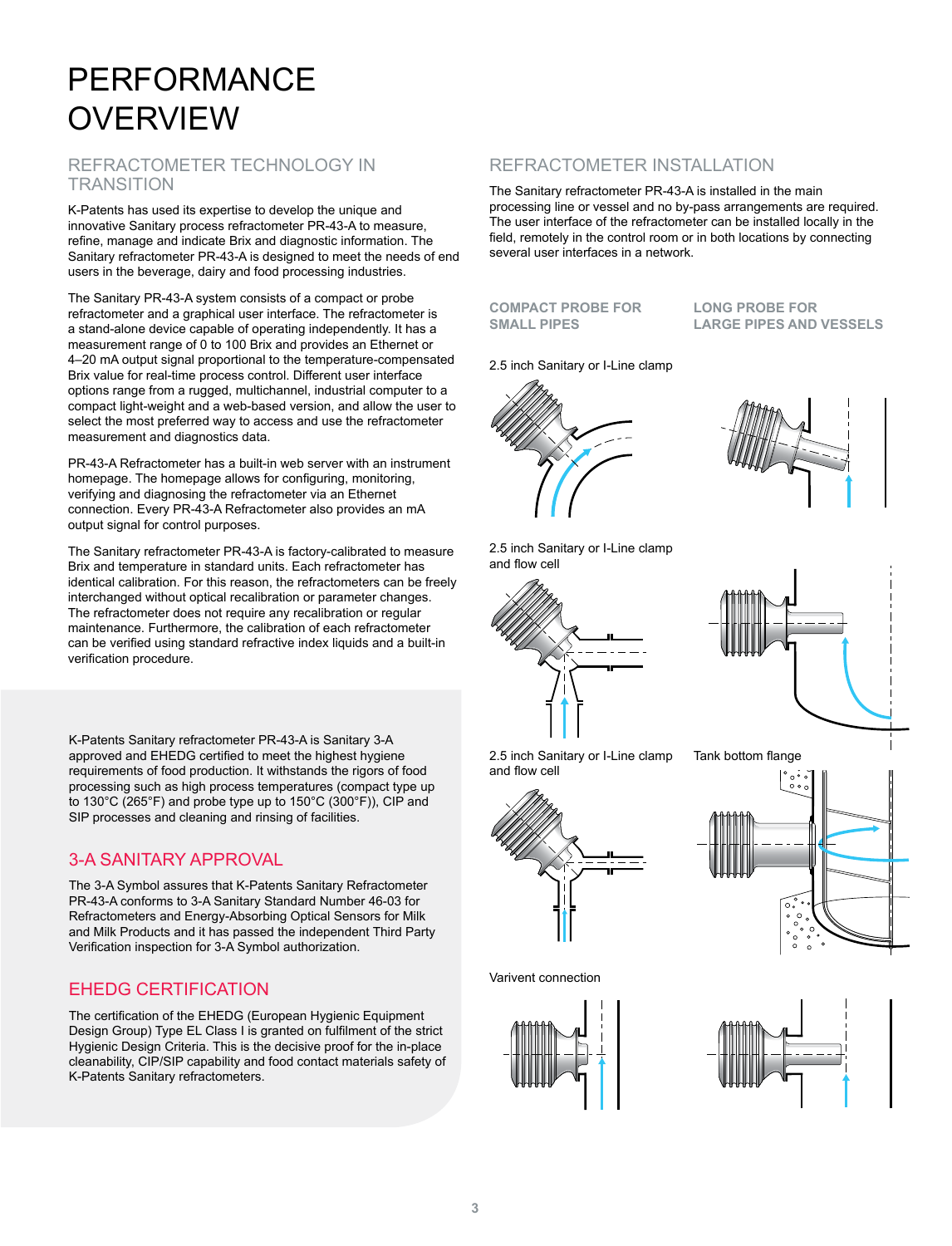# PERFORMANCE **OVERVIEW**

## REFRACTOMETER TECHNOLOGY IN **TRANSITION**

K-Patents has used its expertise to develop the unique and innovative Sanitary process refractometer PR-43-A to measure, refine, manage and indicate Brix and diagnostic information. The Sanitary refractometer PR-43-A is designed to meet the needs of end users in the beverage, dairy and food processing industries.

The Sanitary PR-43-A system consists of a compact or probe refractometer and a graphical user interface. The refractometer is a stand-alone device capable of operating independently. It has a measurement range of 0 to 100 Brix and provides an Ethernet or 4–20 mA output signal proportional to the temperature-compensated Brix value for real-time process control. Different user interface options range from a rugged, multichannel, industrial computer to a compact light-weight and a web-based version, and allow the user to select the most preferred way to access and use the refractometer measurement and diagnostics data.

PR-43-A Refractometer has a built-in web server with an instrument homepage. The homepage allows for configuring, monitoring, verifying and diagnosing the refractometer via an Ethernet connection. Every PR-43-A Refractometer also provides an mA output signal for control purposes.

The Sanitary refractometer PR-43-A is factory-calibrated to measure Brix and temperature in standard units. Each refractometer has identical calibration. For this reason, the refractometers can be freely interchanged without optical recalibration or parameter changes. The refractometer does not require any recalibration or regular maintenance. Furthermore, the calibration of each refractometer can be verified using standard refractive index liquids and a built-in verification procedure.

K-Patents Sanitary refractometer PR-43-A is Sanitary 3-A approved and EHEDG certified to meet the highest hygiene requirements of food production. It withstands the rigors of food processing such as high process temperatures (compact type up to 130°C (265°F) and probe type up to 150°C (300°F)), CIP and SIP processes and cleaning and rinsing of facilities.

## 3-A SANITARY APPROVAL

The 3-A Symbol assures that K-Patents Sanitary Refractometer PR-43-A conforms to 3-A Sanitary Standard Number 46-03 for Refractometers and Energy-Absorbing Optical Sensors for Milk and Milk Products and it has passed the independent Third Party Verification inspection for 3-A Symbol authorization.

## EHEDG CERTIFICATION

The certification of the EHEDG (European Hygienic Equipment Design Group) Type EL Class I is granted on fulfilment of the strict Hygienic Design Criteria. This is the decisive proof for the in-place cleanability, CIP/SIP capability and food contact materials safety of K-Patents Sanitary refractometers.

## REFRACTOMETER INSTALLATION

The Sanitary refractometer PR-43-A is installed in the main processing line or vessel and no by-pass arrangements are required. The user interface of the refractometer can be installed locally in the field, remotely in the control room or in both locations by connecting several user interfaces in a network.

**COMPACT PROBE FOR SMALL PIPES**

**LONG PROBE FOR LARGE PIPES AND VESSELS**

2.5 inch Sanitary or I-Line clamp





2.5 inch Sanitary or I-Line clamp and flow cell





2.5 inch Sanitary or I-Line clamp and flow cell



Varivent connection



Tank bottom flange





**3**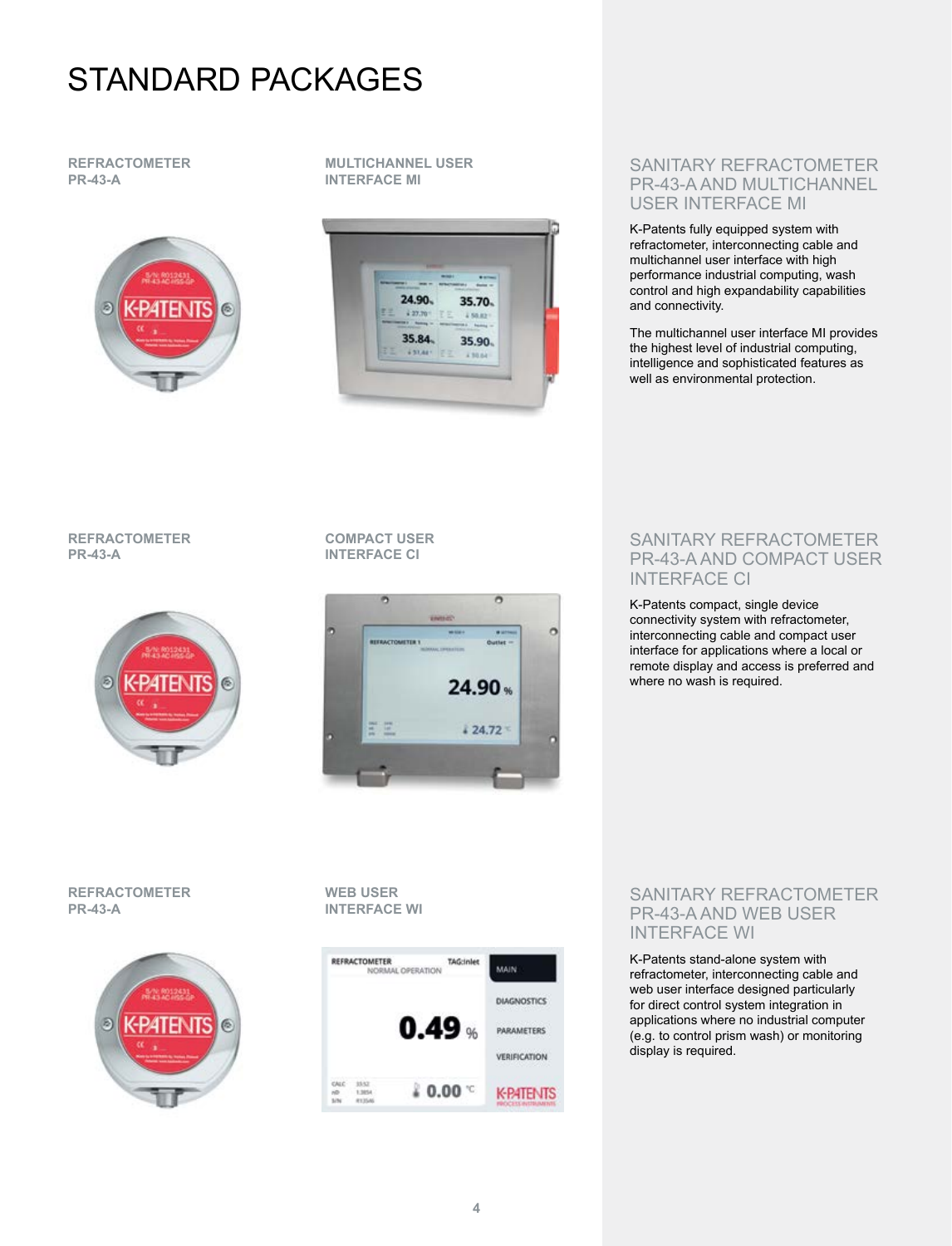# STANDARD PACKAGES

## **REFRACTOMETER PR-43-A**



**MULTICHANNEL USER INTERFACE MI**



## SANITARY REFRACTOMETER PR-43-A AND MULTICHANNEL USER INTERFACE MI

K-Patents fully equipped system with refractometer, interconnecting cable and multichannel user interface with high performance industrial computing, wash control and high expandability capabilities and connectivity.

The multichannel user interface MI provides the highest level of industrial computing, intelligence and sophisticated features as well as environmental protection.

## **REFRACTOMETER PR-43-A**



## **COMPACT USER INTERFACE CI**



## SANITARY REFRACTOMETER PR-43-A AND COMPACT USER INTERFACE CI

K-Patents compact, single device connectivity system with refractometer, interconnecting cable and compact user interface for applications where a local or remote display and access is preferred and where no wash is required.

## **REFRACTOMETER PR-43-A**



**WEB USER INTERFACE WI**



## SANITARY REFRACTOMETER PR-43-A AND WEB USER INTERFACE WI

K-Patents stand-alone system with refractometer, interconnecting cable and web user interface designed particularly for direct control system integration in applications where no industrial computer (e.g. to control prism wash) or monitoring display is required.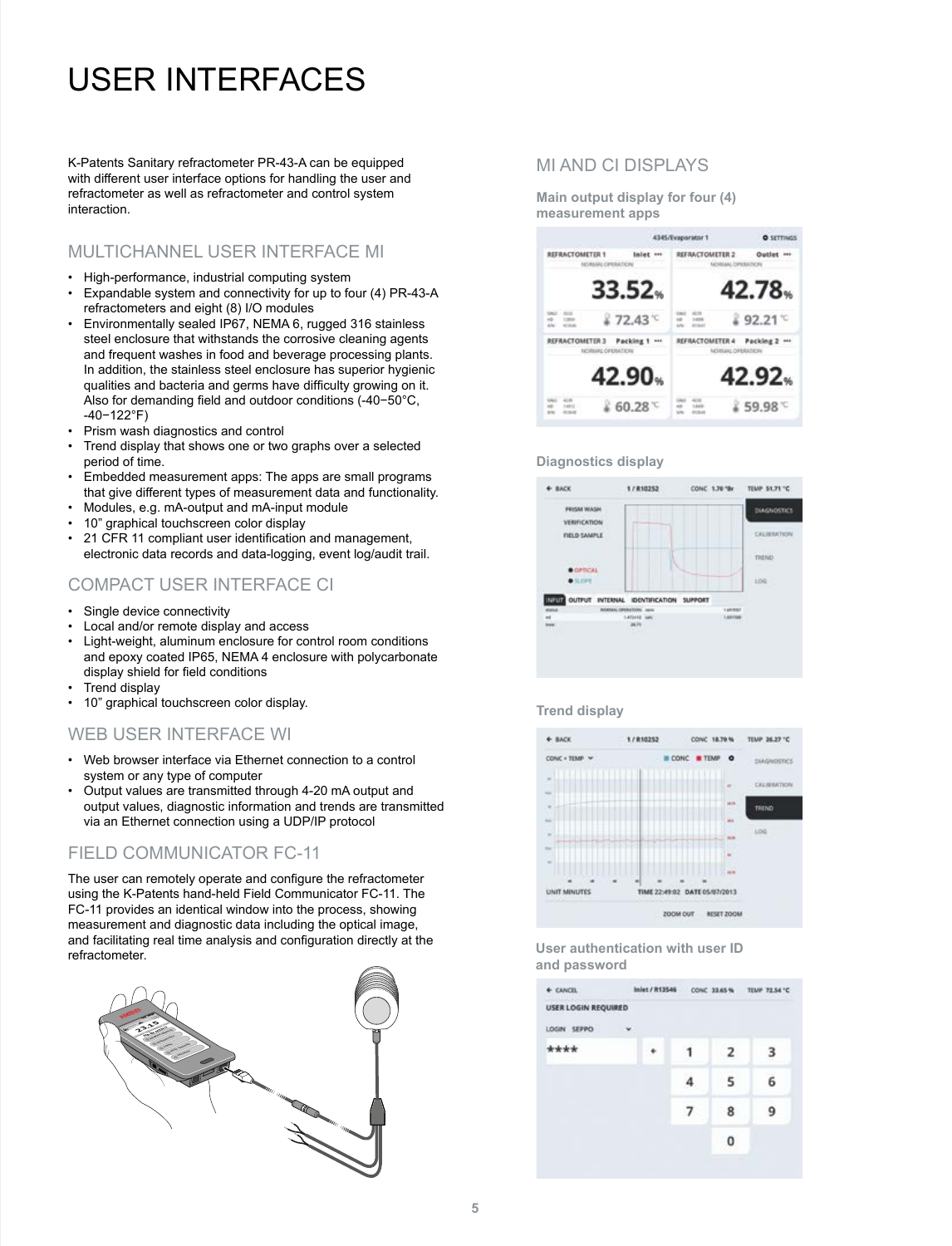# USER INTERFACES

K-Patents Sanitary refractometer PR-43-A can be equipped with different user interface options for handling the user and refractometer as well as refractometer and control system interaction.

## MULTICHANNEL USER INTERFACE MI

- High-performance, industrial computing system
- Expandable system and connectivity for up to four (4) PR-43-A refractometers and eight (8) I/O modules
- Environmentally sealed IP67, NEMA 6, rugged 316 stainless steel enclosure that withstands the corrosive cleaning agents and frequent washes in food and beverage processing plants. In addition, the stainless steel enclosure has superior hygienic qualities and bacteria and germs have difficulty growing on it. Also for demanding field and outdoor conditions (-40−50°C, -40−122°F)
- Prism wash diagnostics and control
- Trend display that shows one or two graphs over a selected period of time.
- Embedded measurement apps: The apps are small programs that give different types of measurement data and functionality.
- Modules, e.g. mA-output and mA-input module
- 10" graphical touchscreen color display
- 21 CFR 11 compliant user identification and management, electronic data records and data-logging, event log/audit trail.

## COMPACT USER INTERFACE CI

- Single device connectivity
- Local and/or remote display and access
- Light-weight, aluminum enclosure for control room conditions and epoxy coated IP65, NEMA 4 enclosure with polycarbonate display shield for field conditions
- Trend display
- 10" graphical touchscreen color display.

## WEB USER INTERFACE WI

- Web browser interface via Ethernet connection to a control system or any type of computer
- Output values are transmitted through 4-20 mA output and output values, diagnostic information and trends are transmitted via an Ethernet connection using a UDP/IP protocol

## FIELD COMMUNICATOR FC-11

The user can remotely operate and configure the refractometer using the K-Patents hand-held Field Communicator FC-11. The FC-11 provides an identical window into the process, showing measurement and diagnostic data including the optical image, and facilitating real time analysis and configuration directly at the refractometer.



## MI AND CI DISPLAYS

**Main output display for four (4) measurement apps**



## **Diagnostics display**



### **Trend display**



## **User authentication with user ID and password**

| + CANCEL                   | Inlet / R13546 |  |   |                | CONC 33.65 % TEMP 72.54 °C |  |
|----------------------------|----------------|--|---|----------------|----------------------------|--|
| <b>USER LOGIN REQUIRED</b> |                |  |   |                |                            |  |
| LOGIN SEPPO                | $\mathbf{v}$   |  |   |                |                            |  |
| ****                       |                |  |   | $\overline{2}$ | з                          |  |
|                            |                |  |   | 5              | 6                          |  |
|                            |                |  | 7 | 8              | 9                          |  |
|                            |                |  |   | 0              |                            |  |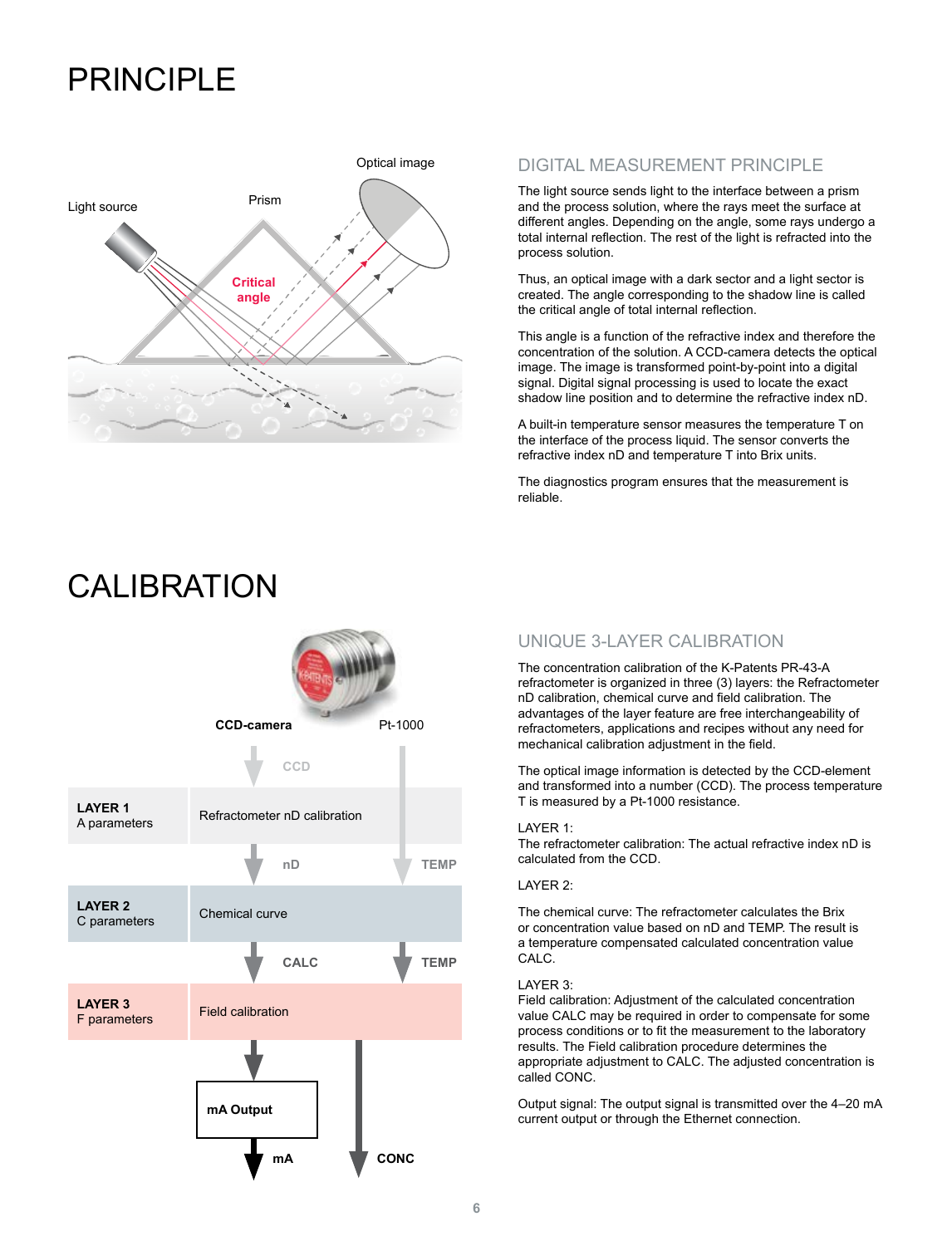# PRINCIPI F



## DIGITAL MEASUREMENT PRINCIPLE

The light source sends light to the interface between a prism and the process solution, where the rays meet the surface at different angles. Depending on the angle, some rays undergo a total internal reflection. The rest of the light is refracted into the process solution.

Thus, an optical image with a dark sector and a light sector is created. The angle corresponding to the shadow line is called the critical angle of total internal reflection.

This angle is a function of the refractive index and therefore the concentration of the solution. A CCD-camera detects the optical image. The image is transformed point-by-point into a digital signal. Digital signal processing is used to locate the exact shadow line position and to determine the refractive index nD.

A built-in temperature sensor measures the temperature T on the interface of the process liquid. The sensor converts the refractive index nD and temperature T into Brix units.

The diagnostics program ensures that the measurement is reliable.



# CAL **IBRATION**

## UNIQUE 3-LAYER CALIBRATION

The concentration calibration of the K-Patents PR-43-A refractometer is organized in three (3) layers: the Refractometer nD calibration, chemical curve and field calibration. The advantages of the layer feature are free interchangeability of refractometers, applications and recipes without any need for mechanical calibration adjustment in the field.

The optical image information is detected by the CCD-element and transformed into a number (CCD). The process temperature T is measured by a Pt-1000 resistance.

### LAYER 1:

The refractometer calibration: The actual refractive index nD is calculated from the CCD.

### LAYER 2:

The chemical curve: The refractometer calculates the Brix or concentration value based on nD and TEMP. The result is a temperature compensated calculated concentration value CALC.

### LAYER 3:

Field calibration: Adjustment of the calculated concentration value CALC may be required in order to compensate for some process conditions or to fit the measurement to the laboratory results. The Field calibration procedure determines the appropriate adjustment to CALC. The adjusted concentration is called CONC.

Output signal: The output signal is transmitted over the 4–20 mA current output or through the Ethernet connection.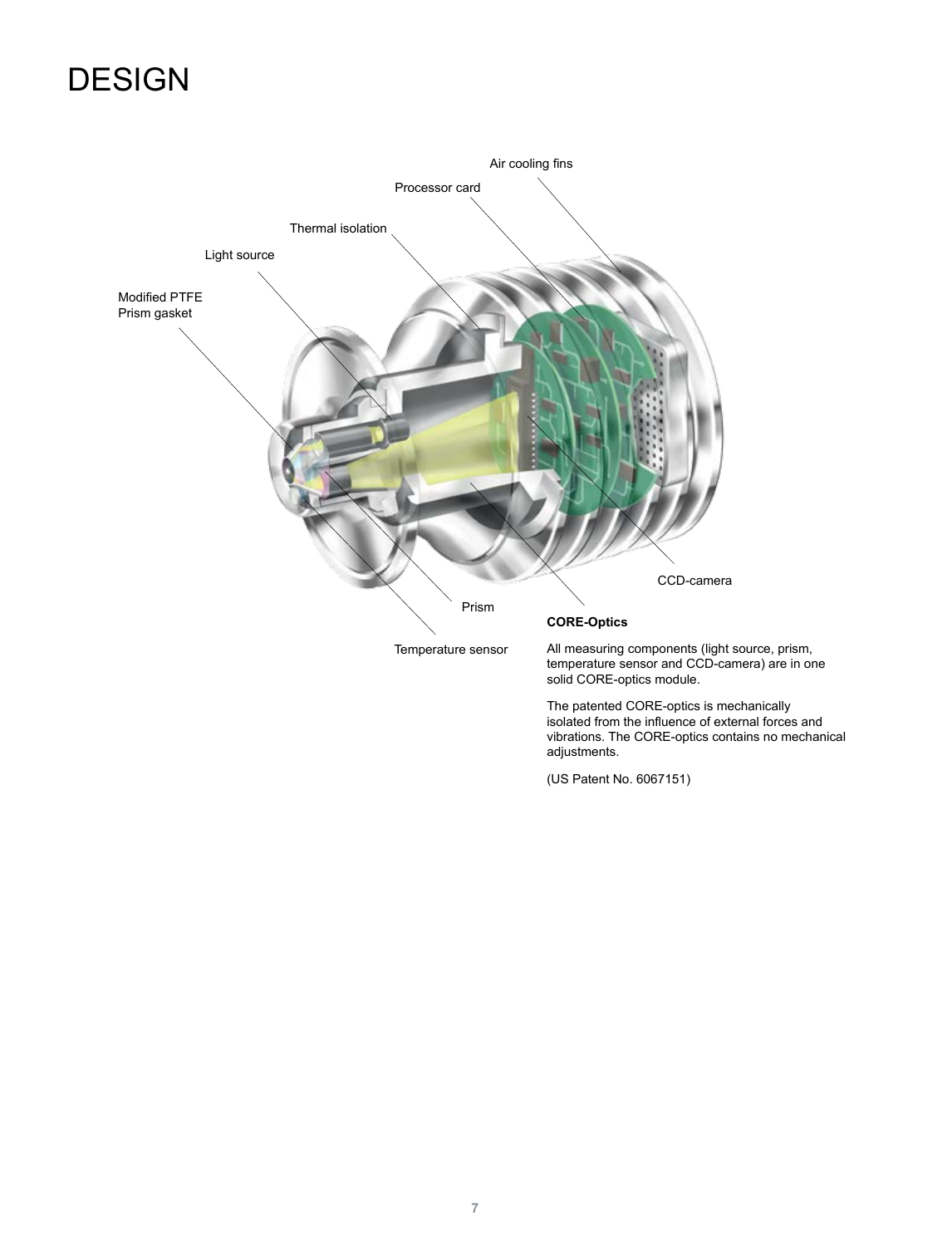# **DESIGN**



(US Patent No. 6067151)